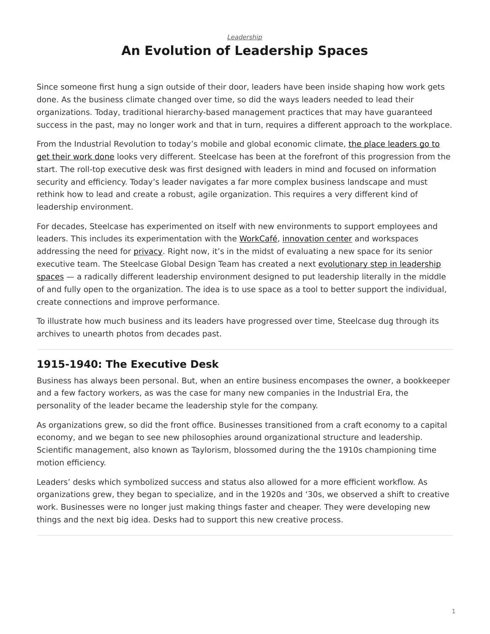#### <span id="page-0-0"></span>*[Leadership](https://www.steelcase.com/research/topics/leadership/)* **An Evolution of Leadership Spaces**

Since someone first hung a sign outside of their door, leaders have been inside shaping how work gets done. As the business climate changed over time, so did the ways leaders needed to lead their organizations. Today, traditional hierarchy-based management practices that may have guaranteed success in the past, may no longer work and that in turn, requires a different approach to the workplace.

From the Industrial Revolution to today's mobile and global economic climate, [the place leaders go to](https://www.steelcase.com/insights/articles/leadership-style/) [get their work done](https://www.steelcase.com/insights/articles/leadership-style/) looks very different. Steelcase has been at the forefront of this progression from the start. The roll-top executive desk was first designed with leaders in mind and focused on information security and efficiency. Today's leader navigates a far more complex business landscape and must rethink how to lead and create a robust, agile organization. This requires a very different kind of leadership environment.

For decades, Steelcase has experimented on itself with new environments to support employees and leaders. This includes its experimentation with the [WorkCafé,](https://www.steelcase.com/spaces-inspiration/resilient-workplace/workcafe/) [innovation center](https://www.steelcase.com/spaces-inspiration/resilient-workplace/innovation-center/) and workspaces addressing the need for [privacy](https://www.steelcase.com/insights/articles/privacy-crisis/). Right now, it's in the midst of evaluating a new space for its senior executive team. The Steelcase Global Design Team has created a next [evolutionary step in leadership](https://www.steelcase.com/insights/articles/space-odyssey/) [spaces](https://www.steelcase.com/insights/articles/space-odyssey/) — a radically different leadership environment designed to put leadership literally in the middle of and fully open to the organization. The idea is to use space as a tool to better support the individual, create connections and improve performance.

To illustrate how much business and its leaders have progressed over time, Steelcase dug through its archives to unearth photos from decades past.

## **1915-1940: The Executive Desk**

Business has always been personal. But, when an entire business encompases the owner, a bookkeeper and a few factory workers, as was the case for many new companies in the Industrial Era, the personality of the leader became the leadership style for the company.

As organizations grew, so did the front office. Businesses transitioned from a craft economy to a capital economy, and we began to see new philosophies around organizational structure and leadership. Scientific management, also known as Taylorism, blossomed during the the 1910s championing time motion efficiency.

Leaders' desks which symbolized success and status also allowed for a more efficient workflow. As organizations grew, they began to specialize, and in the 1920s and '30s, we observed a shift to creative work. Businesses were no longer just making things faster and cheaper. They were developing new things and the next big idea. Desks had to support this new creative process.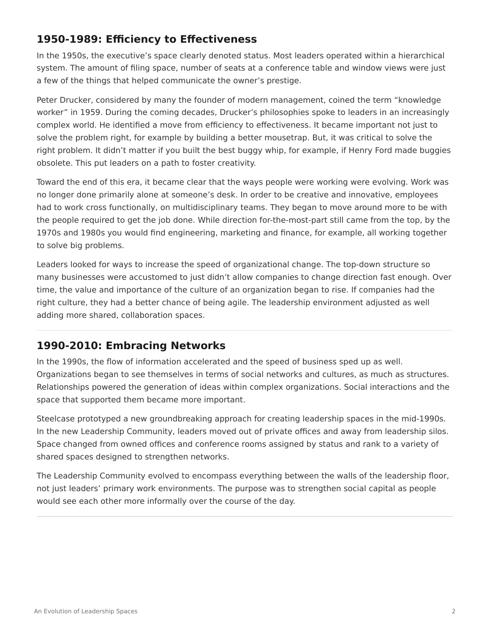# **1950-1989: Efficiency to Effectiveness**

In the 1950s, the executive's space clearly denoted status. Most leaders operated within a hierarchical system. The amount of filing space, number of seats at a conference table and window views were just a few of the things that helped communicate the owner's prestige.

Peter Drucker, considered by many the founder of modern management, coined the term "knowledge worker" in 1959. During the coming decades, Drucker's philosophies spoke to leaders in an increasingly complex world. He identified a move from efficiency to effectiveness. It became important not just to solve the problem right, for example by building a better mousetrap. But, it was critical to solve the right problem. It didn't matter if you built the best buggy whip, for example, if Henry Ford made buggies obsolete. This put leaders on a path to foster creativity.

Toward the end of this era, it became clear that the ways people were working were evolving. Work was no longer done primarily alone at someone's desk. In order to be creative and innovative, employees had to work cross functionally, on multidisciplinary teams. They began to move around more to be with the people required to get the job done. While direction for-the-most-part still came from the top, by the 1970s and 1980s you would find engineering, marketing and finance, for example, all working together to solve big problems.

Leaders looked for ways to increase the speed of organizational change. The top-down structure so many businesses were accustomed to just didn't allow companies to change direction fast enough. Over time, the value and importance of the culture of an organization began to rise. If companies had the right culture, they had a better chance of being agile. The leadership environment adjusted as well adding more shared, collaboration spaces.

## **1990-2010: Embracing Networks**

In the 1990s, the flow of information accelerated and the speed of business sped up as well. Organizations began to see themselves in terms of social networks and cultures, as much as structures. Relationships powered the generation of ideas within complex organizations. Social interactions and the space that supported them became more important.

Steelcase prototyped a new groundbreaking approach for creating leadership spaces in the mid-1990s. In the new Leadership Community, leaders moved out of private offices and away from leadership silos. Space changed from owned offices and conference rooms assigned by status and rank to a variety of shared spaces designed to strengthen networks.

The Leadership Community evolved to encompass everything between the walls of the leadership floor, not just leaders' primary work environments. The purpose was to strengthen social capital as people would see each other more informally over the course of the day.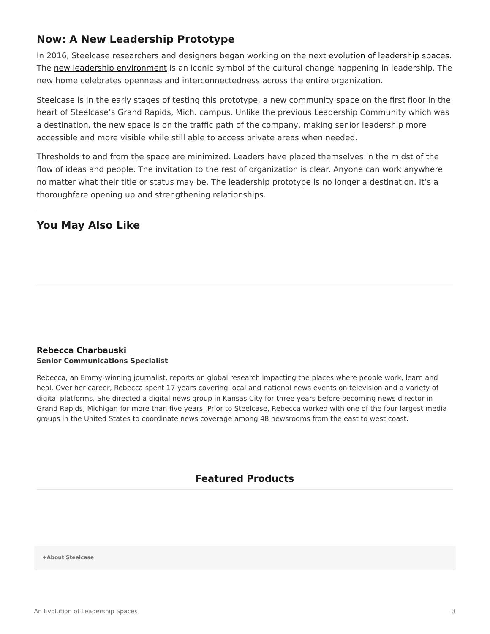## **Now: A New Leadership Prototype**

In 2016, Steelcase researchers and designers began working on the next [evolution of leadership spaces.](https://www.steelcase.com/insights/articles/space-odyssey/) The [new leadership environment](https://www.steelcase.com/spaces-inspiration/inspiring-office-workspaces/) is an iconic symbol of the cultural change happening in leadership. The new home celebrates openness and interconnectedness across the entire organization.

Steelcase is in the early stages of testing this prototype, a new community space on the first floor in the heart of Steelcase's Grand Rapids, Mich. campus. Unlike the previous Leadership Community which was a destination, the new space is on the traffic path of the company, making senior leadership more accessible and more visible while still able to access private areas when needed.

Thresholds to and from the space are minimized. Leaders have placed themselves in the midst of the flow of ideas and people. The invitation to the rest of organization is clear. Anyone can work anywhere no matter what their title or status may be. The leadership prototype is no longer a destination. It's a thoroughfare opening up and strengthening relationships.

#### **You May Also Like**

#### **[Rebecca Charbauski](https://www.steelcase.com/research/articles/author/rcharbausteelcase-com/) Senior Communications Specialist**

Rebecca, an Emmy-winning journalist, reports on global research impacting the places where people work, learn and heal. Over her career, Rebecca spent 17 years covering local and national news events on television and a variety of digital platforms. She directed a digital news group in Kansas City for three years before becoming news director in Grand Rapids, Michigan for more than five years. Prior to Steelcase, Rebecca worked with one of the four largest media groups in the United States to coordinate news coverage among 48 newsrooms from the east to west coast.

#### **Featured Products**

**[+About Steelcase](https://www.steelcase.com/discover/steelcase/our-company/)**